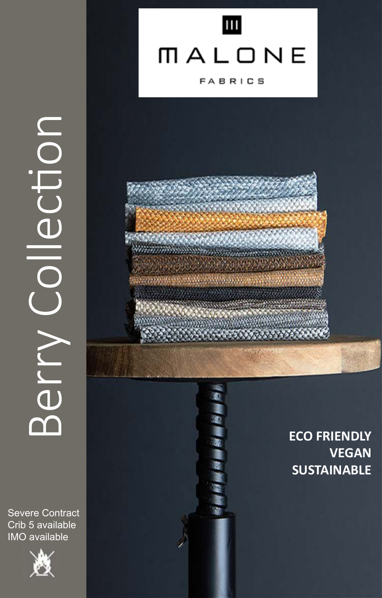

# MALONE

**FABRICS** 



**ECO FRIENDLY VEGAN SUSTAINABLE**

# Berry Collecton NOLISS Alla

Severe Contract Crib 5 available IMO available

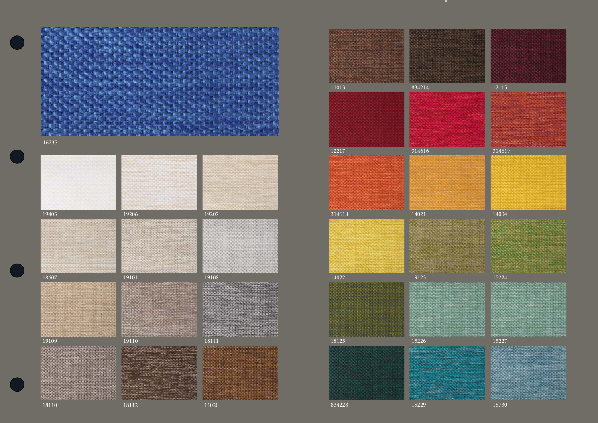